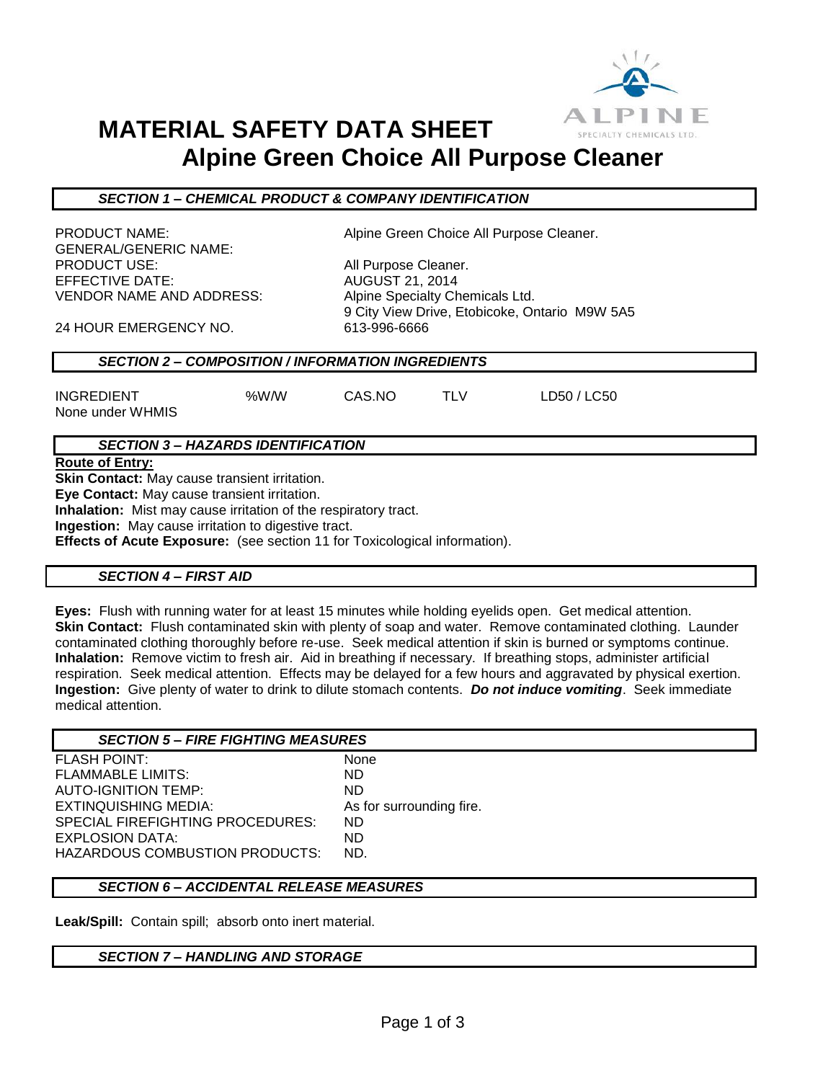

## **MATERIAL SAFETY DATA SHEET Alpine Green Choice All Purpose Cleaner**

#### *SECTION 1 – CHEMICAL PRODUCT & COMPANY IDENTIFICATION*

GENERAL/GENERIC NAME: PRODUCT USE: All Purpose Cleaner. EFFECTIVE DATE: AUGUST 21, 2014 VENDOR NAME AND ADDRESS: Alpine Specialty Chemicals Ltd.

PRODUCT NAME:  $\qquad \qquad$  Alpine Green Choice All Purpose Cleaner.

9 City View Drive, Etobicoke, Ontario M9W 5A5

24 HOUR EMERGENCY NO. 613-996-6666

### *SECTION 2 – COMPOSITION / INFORMATION INGREDIENTS*

INGREDIENT %W/W CAS.NO TLV LD50 / LC50 None under WHMIS

## *SECTION 3 – HAZARDS IDENTIFICATION*

**Route of Entry:**

**Skin Contact:** May cause transient irritation.

**Eye Contact:** May cause transient irritation.

**Inhalation:** Mist may cause irritation of the respiratory tract.

**Ingestion:** May cause irritation to digestive tract.

**Effects of Acute Exposure:** (see section 11 for Toxicological information).

#### *SECTION 4 – FIRST AID*

**Eyes:** Flush with running water for at least 15 minutes while holding eyelids open. Get medical attention. **Skin Contact:** Flush contaminated skin with plenty of soap and water. Remove contaminated clothing. Launder contaminated clothing thoroughly before re-use. Seek medical attention if skin is burned or symptoms continue. **Inhalation:** Remove victim to fresh air. Aid in breathing if necessary. If breathing stops, administer artificial respiration. Seek medical attention. Effects may be delayed for a few hours and aggravated by physical exertion. **Ingestion:** Give plenty of water to drink to dilute stomach contents. *Do not induce vomiting*. Seek immediate medical attention.

| <b>SECTION 5 – FIRE FIGHTING MEASURES</b> |                          |
|-------------------------------------------|--------------------------|
| <b>FLASH POINT:</b>                       | None                     |
| <b>FLAMMABLE LIMITS:</b>                  | ND.                      |
| <b>AUTO-IGNITION TEMP:</b>                | ND.                      |
| EXTINQUISHING MEDIA:                      | As for surrounding fire. |
| SPECIAL FIREFIGHTING PROCEDURES:          | ND.                      |
| EXPLOSION DATA:                           | ND.                      |
| <b>HAZARDOUS COMBUSTION PRODUCTS:</b>     | ND.                      |

### *SECTION 6 – ACCIDENTAL RELEASE MEASURES*

**Leak/Spill:** Contain spill; absorb onto inert material.

#### *SECTION 7 – HANDLING AND STORAGE*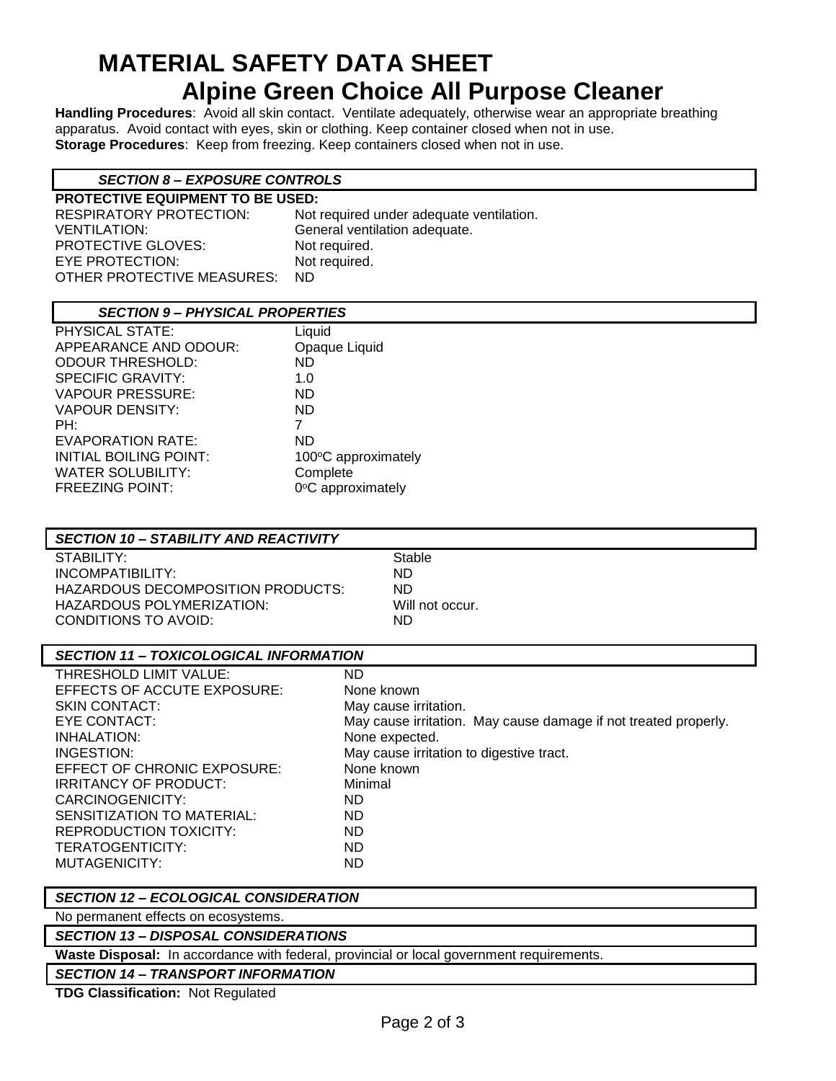## **MATERIAL SAFETY DATA SHEET Alpine Green Choice All Purpose Cleaner**

**Handling Procedures**: Avoid all skin contact. Ventilate adequately, otherwise wear an appropriate breathing apparatus. Avoid contact with eyes, skin or clothing. Keep container closed when not in use. **Storage Procedures**: Keep from freezing. Keep containers closed when not in use.

## *SECTION 8 – EXPOSURE CONTROLS*

**PROTECTIVE EQUIPMENT TO BE USED:** RESPIRATORY PROTECTION: Not required under adequate ventilation. VENTILATION: General ventilation adequate. PROTECTIVE GLOVES: Not required. EYE PROTECTION: Not required. OTHER PROTECTIVE MEASURES: ND

## *SECTION 9 – PHYSICAL PROPERTIES*

| <b>PHYSICAL STATE:</b>        | Liquid              |
|-------------------------------|---------------------|
| APPEARANCE AND ODOUR:         | Opaque Liquid       |
| <b>ODOUR THRESHOLD:</b>       | ND                  |
| <b>SPECIFIC GRAVITY:</b>      | 1.0                 |
| <b>VAPOUR PRESSURE:</b>       | ND.                 |
| <b>VAPOUR DENSITY:</b>        | ND.                 |
| PH:                           | 7                   |
| <b>EVAPORATION RATE:</b>      | ND                  |
| <b>INITIAL BOILING POINT:</b> | 100°C approximately |
| <b>WATER SOLUBILITY:</b>      | Complete            |
| <b>FREEZING POINT:</b>        | 0°C approximately   |
|                               |                     |

## *SECTION 10 – STABILITY AND REACTIVITY*

STABILITY: STABILITY: INCOMPATIBILITY: ND HAZARDOUS DECOMPOSITION PRODUCTS: ND HAZARDOUS POLYMERIZATION: Will not occur. CONDITIONS TO AVOID: ND

| <b>SECTION 11 - TOXICOLOGICAL INFORMATION</b> |                                                                 |
|-----------------------------------------------|-----------------------------------------------------------------|
| THRESHOLD LIMIT VALUE:                        | ND                                                              |
| EFFECTS OF ACCUTE EXPOSURE:                   | None known                                                      |
| <b>SKIN CONTACT:</b>                          | May cause irritation.                                           |
| EYE CONTACT:                                  | May cause irritation. May cause damage if not treated properly. |
| INHALATION:                                   | None expected.                                                  |
| INGESTION:                                    | May cause irritation to digestive tract.                        |

EFFECT OF CHRONIC EXPOSURE: None known IRRITANCY OF PRODUCT: Minimal CARCINOGENICITY: ND SENSITIZATION TO MATERIAL: ND REPRODUCTION TOXICITY: ND TERATOGENTICITY: ND MUTAGENICITY: ND

*SECTION 12 – ECOLOGICAL CONSIDERATION*

No permanent effects on ecosystems.

#### *SECTION 13 – DISPOSAL CONSIDERATIONS*

**Waste Disposal:** In accordance with federal, provincial or local government requirements.

*SECTION 14 – TRANSPORT INFORMATION*

**TDG Classification:** Not Regulated